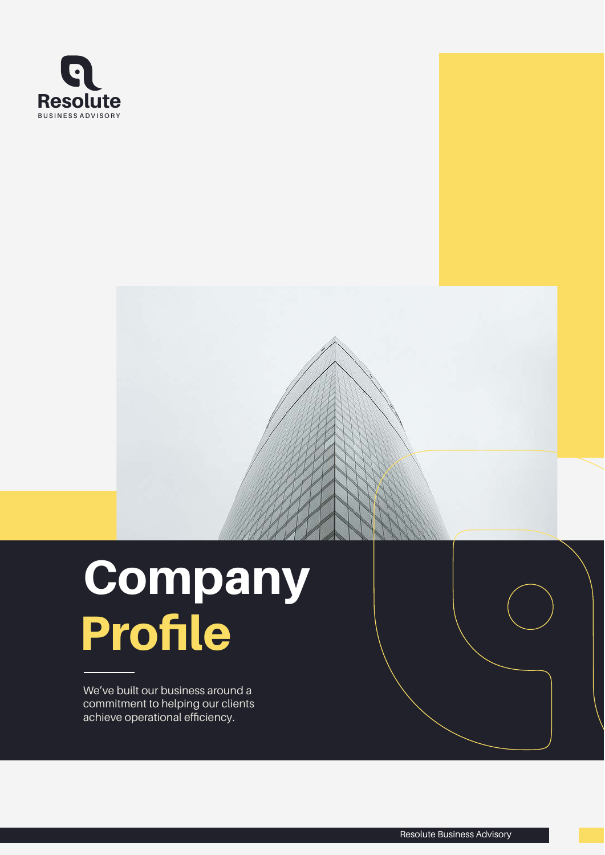

# Profile **Company**

We've built our business around a commitment to helping our clients achieve operational efficiency.

Resolute Business Advisory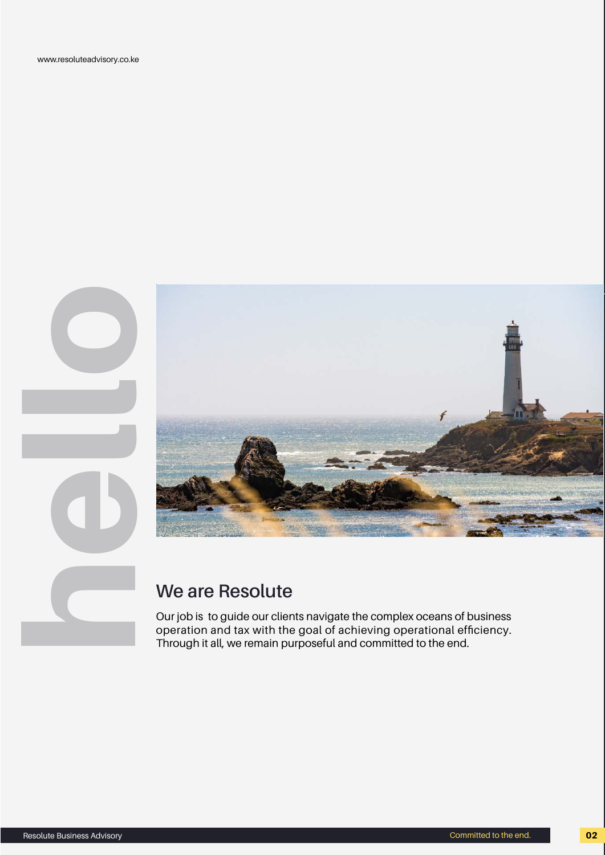www.resoluteadvisory.co.ke



Our job is to guide our clients navigate the complex oceans of business operation and tax with the goal of achieving operational efficiency. Through it all, we remain purposeful and committed to the end.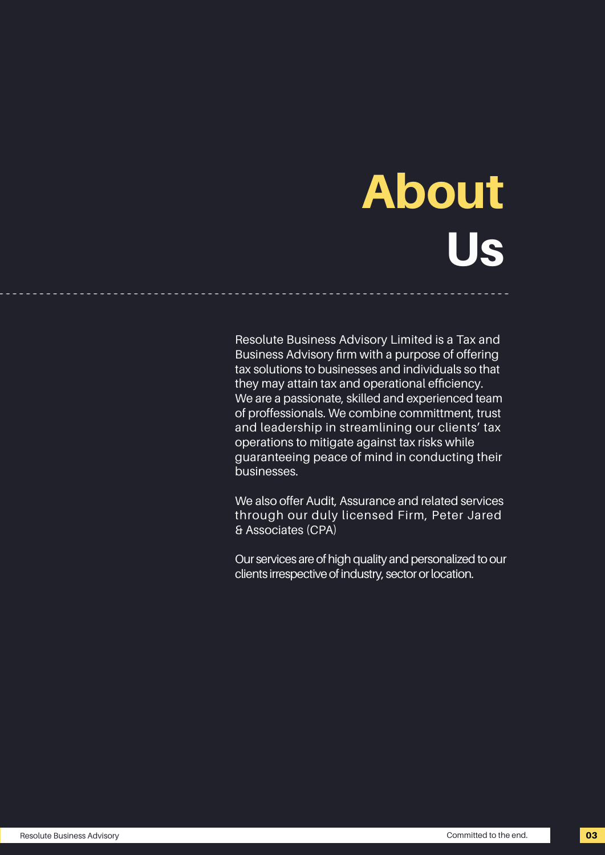# About Us

Resolute Business Advisory Limited is a Tax and Business Advisory firm with a purpose of offering tax solutions to businesses and individuals so that they may attain tax and operational efficiency. We are a passionate, skilled and experienced team of proffessionals. We combine committment, trust and leadership in streamlining our clients' tax operations to mitigate against tax risks while guaranteeing peace of mind in conducting their businesses.

............................................................................

We also offer Audit, Assurance and related services through our duly licensed Firm, Peter Jared & Associates (CPA)

Our services are of high quality and personalized to our clients irrespective of industry, sector or location.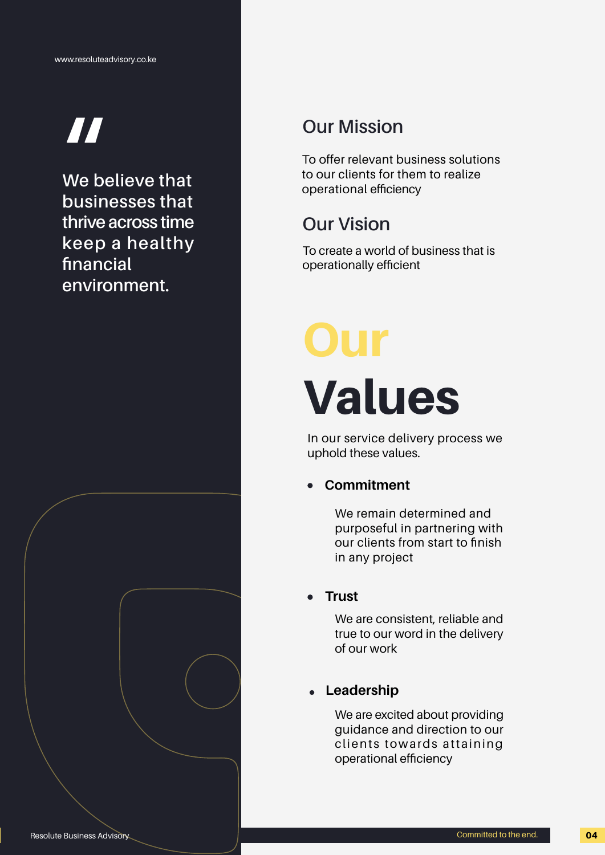## **"**

**We believe that businesses that thrive across time keep a healthy financial environment.** 

## **Our Mission**

To offer relevant business solutions to our clients for them to realize operational efficiency

## **Our Vision**

To create a world of business that is operationally efficient

## Our Values

In our service delivery process we uphold these values.

## **Commitment**

We remain determined and purposeful in partnering with our clients from start to finish in any project

## **Trust**

We are consistent, reliable and true to our word in the delivery of our work

## **Leadership**

We are excited about providing guidance and direction to our clients towards attaining operational efficiency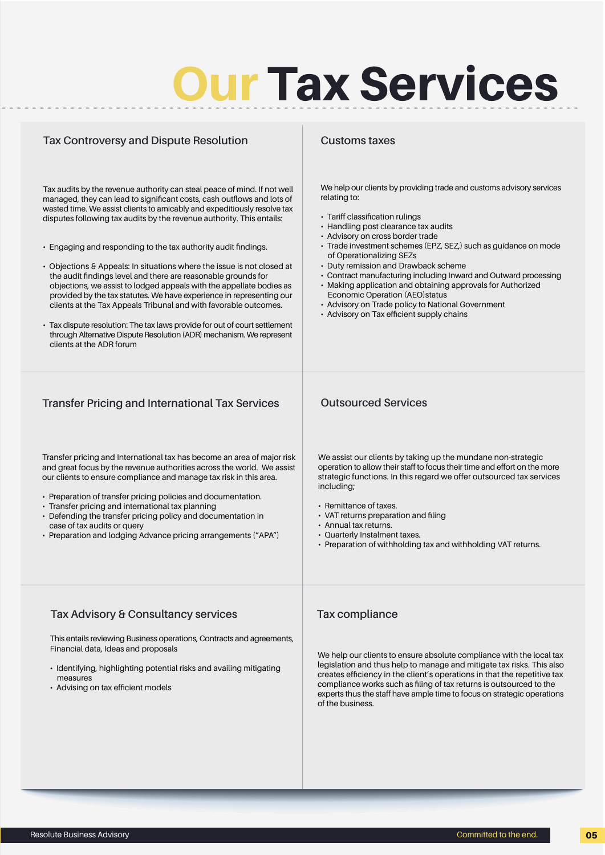# **Our Tax Services**

| <b>Tax Controversy and Dispute Resolution</b>                                                                                                                                                                                                                                                                                                                                                                                                                                                                                                                                                                                                                                                                                                                                                                                                                                                                              | <b>Customs taxes</b>                                                                                                                                                                                                                                                                                                                                                                                                                                                                                                                                                                                              |
|----------------------------------------------------------------------------------------------------------------------------------------------------------------------------------------------------------------------------------------------------------------------------------------------------------------------------------------------------------------------------------------------------------------------------------------------------------------------------------------------------------------------------------------------------------------------------------------------------------------------------------------------------------------------------------------------------------------------------------------------------------------------------------------------------------------------------------------------------------------------------------------------------------------------------|-------------------------------------------------------------------------------------------------------------------------------------------------------------------------------------------------------------------------------------------------------------------------------------------------------------------------------------------------------------------------------------------------------------------------------------------------------------------------------------------------------------------------------------------------------------------------------------------------------------------|
| Tax audits by the revenue authority can steal peace of mind. If not well<br>managed, they can lead to significant costs, cash outflows and lots of<br>wasted time. We assist clients to amicably and expeditiously resolve tax<br>disputes following tax audits by the revenue authority. This entails:<br>• Engaging and responding to the tax authority audit findings.<br>• Objections & Appeals: In situations where the issue is not closed at<br>the audit findings level and there are reasonable grounds for<br>objections, we assist to lodged appeals with the appellate bodies as<br>provided by the tax statutes. We have experience in representing our<br>clients at the Tax Appeals Tribunal and with favorable outcomes.<br>• Tax dispute resolution: The tax laws provide for out of court settlement<br>through Alternative Dispute Resolution (ADR) mechanism. We represent<br>clients at the ADR forum | We help our clients by providing trade and customs advisory services<br>relating to:<br>• Tariff classification rulings<br>• Handling post clearance tax audits<br>• Advisory on cross border trade<br>· Trade investment schemes (EPZ, SEZ,) such as guidance on mode<br>of Operationalizing SEZs<br>• Duty remission and Drawback scheme<br>• Contract manufacturing including Inward and Outward processing<br>• Making application and obtaining approvals for Authorized<br>Economic Operation (AEO)status<br>• Advisory on Trade policy to National Government<br>• Advisory on Tax efficient supply chains |
| <b>Transfer Pricing and International Tax Services</b><br>Transfer pricing and International tax has become an area of major risk                                                                                                                                                                                                                                                                                                                                                                                                                                                                                                                                                                                                                                                                                                                                                                                          | <b>Outsourced Services</b><br>We assist our clients by taking up the mundane non-strategic                                                                                                                                                                                                                                                                                                                                                                                                                                                                                                                        |
| and great focus by the revenue authorities across the world. We assist<br>our clients to ensure compliance and manage tax risk in this area.<br>• Preparation of transfer pricing policies and documentation.<br>• Transfer pricing and international tax planning<br>• Defending the transfer pricing policy and documentation in<br>case of tax audits or query<br>• Preparation and lodging Advance pricing arrangements ("APA")                                                                                                                                                                                                                                                                                                                                                                                                                                                                                        | operation to allow their staff to focus their time and effort on the more<br>strategic functions. In this regard we offer outsourced tax services<br>including;<br>• Remittance of taxes.<br>• VAT returns preparation and filing<br>• Annual tax returns.<br>• Quarterly Instalment taxes.<br>• Preparation of withholding tax and withholding VAT returns.                                                                                                                                                                                                                                                      |
| Tax Advisory & Consultancy services<br>This entails reviewing Business operations, Contracts and agreements,<br>Financial data, Ideas and proposals<br>· Identifying, highlighting potential risks and availing mitigating<br>measures<br>• Advising on tax efficient models                                                                                                                                                                                                                                                                                                                                                                                                                                                                                                                                                                                                                                               | <b>Tax compliance</b><br>We help our clients to ensure absolute compliance with the local tax<br>legislation and thus help to manage and mitigate tax risks. This also<br>creates efficiency in the client's operations in that the repetitive tax<br>compliance works such as filing of tax returns is outsourced to the<br>experts thus the staff have ample time to focus on strategic operations<br>of the business.                                                                                                                                                                                          |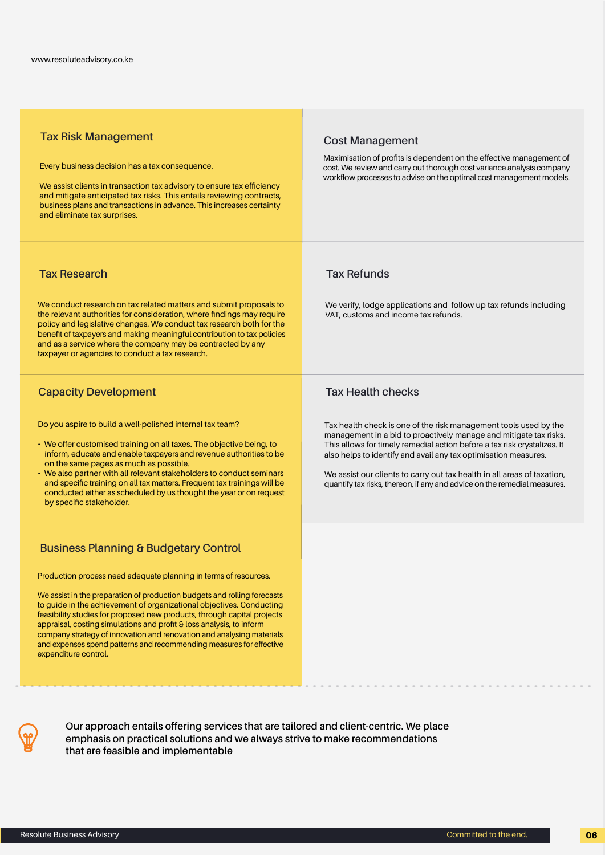| <b>Tax Risk Management</b><br>Every business decision has a tax consequence.<br>We assist clients in transaction tax advisory to ensure tax efficiency<br>and mitigate anticipated tax risks. This entails reviewing contracts,<br>business plans and transactions in advance. This increases certainty<br>and eliminate tax surprises.                                                                                                                                                                                                                                                             | <b>Cost Management</b><br>Maximisation of profits is dependent on the effective management of<br>cost. We review and carry out thorough cost variance analysis company<br>workflow processes to advise on the optimal cost management models.                                                                                                                                                                                                                           |
|-----------------------------------------------------------------------------------------------------------------------------------------------------------------------------------------------------------------------------------------------------------------------------------------------------------------------------------------------------------------------------------------------------------------------------------------------------------------------------------------------------------------------------------------------------------------------------------------------------|-------------------------------------------------------------------------------------------------------------------------------------------------------------------------------------------------------------------------------------------------------------------------------------------------------------------------------------------------------------------------------------------------------------------------------------------------------------------------|
| <b>Tax Research</b><br>We conduct research on tax related matters and submit proposals to<br>the relevant authorities for consideration, where findings may require<br>policy and legislative changes. We conduct tax research both for the<br>benefit of taxpayers and making meaningful contribution to tax policies<br>and as a service where the company may be contracted by any<br>taxpayer or agencies to conduct a tax research.                                                                                                                                                            | <b>Tax Refunds</b><br>We verify, lodge applications and follow up tax refunds including<br>VAT, customs and income tax refunds.                                                                                                                                                                                                                                                                                                                                         |
| <b>Capacity Development</b><br>Do you aspire to build a well-polished internal tax team?<br>• We offer customised training on all taxes. The objective being, to<br>inform, educate and enable taxpayers and revenue authorities to be<br>on the same pages as much as possible.<br>• We also partner with all relevant stakeholders to conduct seminars<br>and specific training on all tax matters. Frequent tax trainings will be<br>conducted either as scheduled by us thought the year or on request<br>by specific stakeholder.                                                              | <b>Tax Health checks</b><br>Tax health check is one of the risk management tools used by the<br>management in a bid to proactively manage and mitigate tax risks.<br>This allows for timely remedial action before a tax risk crystalizes. It<br>also helps to identify and avail any tax optimisation measures.<br>We assist our clients to carry out tax health in all areas of taxation,<br>quantify tax risks, thereon, if any and advice on the remedial measures. |
| <b>Business Planning &amp; Budgetary Control</b><br>Production process need adequate planning in terms of resources.<br>We assist in the preparation of production budgets and rolling forecasts<br>to guide in the achievement of organizational objectives. Conducting<br>feasibility studies for proposed new products, through capital projects<br>appraisal, costing simulations and profit & loss analysis, to inform<br>company strategy of innovation and renovation and analysing materials<br>and expenses spend patterns and recommending measures for effective<br>expenditure control. |                                                                                                                                                                                                                                                                                                                                                                                                                                                                         |



**Our approach entails offering services that are tailored and client-centric. We place emphasis on practical solutions and we always strive to make recommendations that are feasible and implementable**

............................................................................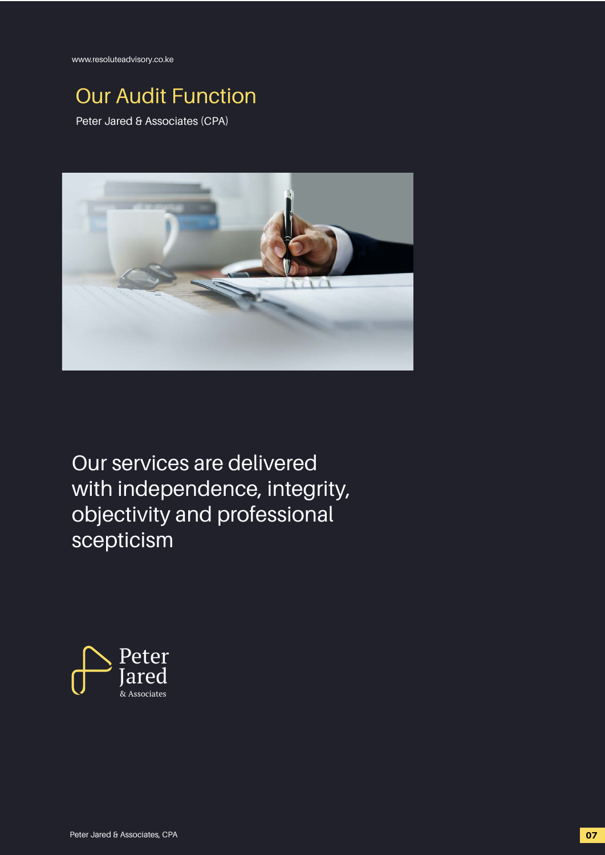www.resoluteadvisory.co.ke

## Our Audit Function

Peter Jared & Associates (CPA)



Our services are delivered with independence, integrity, objectivity and professional scepticism

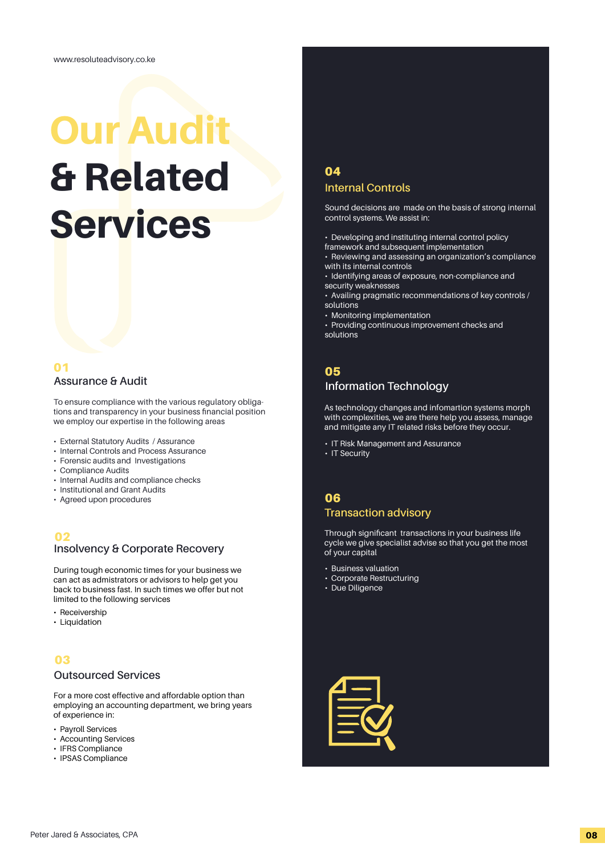## Our Audit & Related Services

## 01

To ensure compliance with the various regulatory obligations and transparency in your business financial position we employ our expertise in the following areas

- External Statutory Audits / Assurance
- Internal Controls and Process Assurance
- Forensic audits and Investigations
- Compliance Audits
- Internal Audits and compliance checks
- Institutional and Grant Audits
- Agreed upon procedures

### 02

### **Insolvency & Corporate Recovery**

During tough economic times for your business we can act as admistrators or advisors to help get you back to business fast. In such times we offer but not limited to the following services

- Receivership
- Liquidation

## 03

#### **Outsourced Services**

For a more cost effective and affordable option than employing an accounting department, we bring years of experience in:

- Payroll Services
- Accounting Services
- IFRS Compliance
- IPSAS Compliance

## **Internal Controls** 04

Sound decisions are made on the basis of strong internal control systems. We assist in:

- Developing and instituting internal control policy
- framework and subsequent implementation
- Reviewing and assessing an organization's compliance with its internal controls
- Identifying areas of exposure, non-compliance and security weaknesses
- Availing pragmatic recommendations of key controls / solutions
- Monitoring implementation
- Providing continuous improvement checks and solutions

## 05

## **Assurance & Audit Information Technology**

As technology changes and infomartion systems morph with complexities, we are there help you assess, manage and mitigate any IT related risks before they occur.

- IT Risk Management and Assurance
- IT Security

### **Transaction advisory**  06

Through significant transactions in your business life cycle we give specialist advise so that you get the most of your capital

- Business valuation
- Corporate Restructuring
- Due Diligence

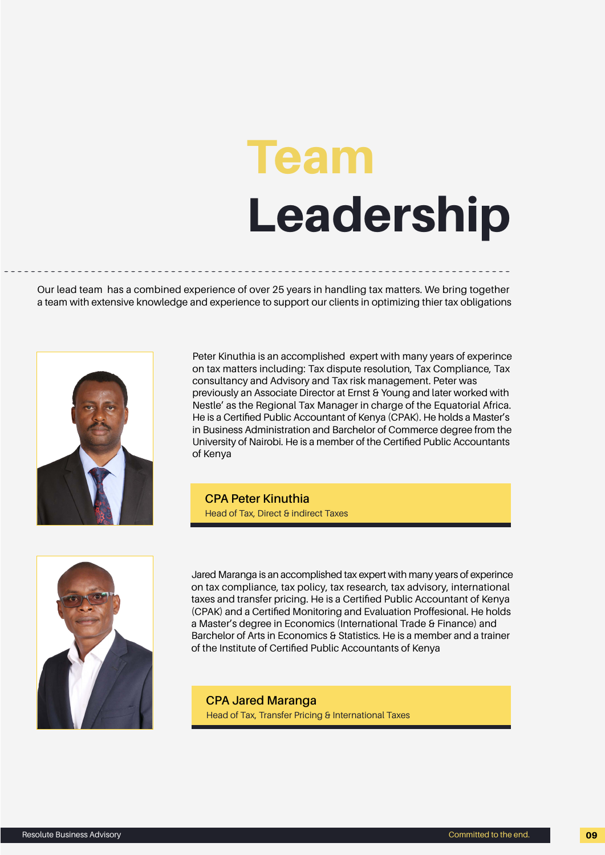# Team Leadership

Our lead team has a combined experience of over 25 years in handling tax matters. We bring together a team with extensive knowledge and experience to support our clients in optimizing thier tax obligations

............................................................................



Peter Kinuthia is an accomplished expert with many years of experince on tax matters including: Tax dispute resolution, Tax Compliance, Tax consultancy and Advisory and Tax risk management. Peter was previously an Associate Director at Ernst & Young and later worked with Nestle' as the Regional Tax Manager in charge of the Equatorial Africa. He is a Certified Public Accountant of Kenya (CPAK). He holds a Master's in Business Administration and Barchelor of Commerce degree from the University of Nairobi. He is a member of the Certified Public Accountants of Kenya

**CPA Peter Kinuthia** Head of Tax, Direct & indirect Taxes



Jared Maranga is an accomplished tax expert with many years of experince on tax compliance, tax policy, tax research, tax advisory, international taxes and transfer pricing. He is a Certified Public Accountant of Kenya (CPAK) and a Certified Monitoring and Evaluation Proffesional. He holds a Master's degree in Economics (International Trade & Finance) and Barchelor of Arts in Economics & Statistics. He is a member and a trainer of the Institute of Certified Public Accountants of Kenya

**CPA Jared Maranga** Head of Tax, Transfer Pricing & International Taxes